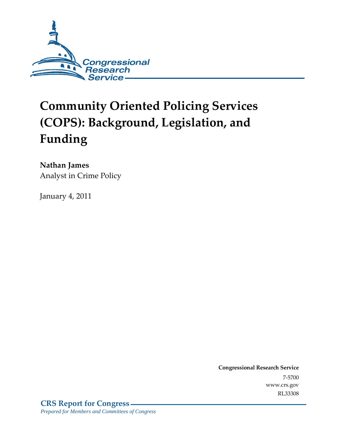

# **Community Oriented Policing Services (COPS): Background, Legislation, and Funding**

**Nathan James** 

Analyst in Crime Policy

January 4, 2011

**Congressional Research Service** 7-5700 www.crs.gov RL33308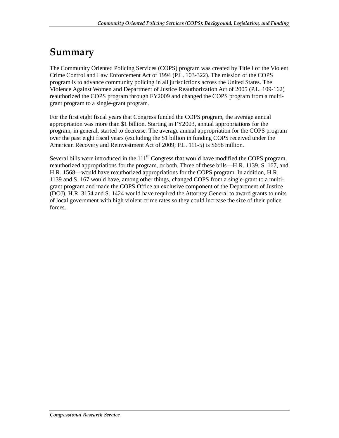## **Summary**

The Community Oriented Policing Services (COPS) program was created by Title I of the Violent Crime Control and Law Enforcement Act of 1994 (P.L. 103-322). The mission of the COPS program is to advance community policing in all jurisdictions across the United States. The Violence Against Women and Department of Justice Reauthorization Act of 2005 (P.L. 109-162) reauthorized the COPS program through FY2009 and changed the COPS program from a multigrant program to a single-grant program.

For the first eight fiscal years that Congress funded the COPS program, the average annual appropriation was more than \$1 billion. Starting in FY2003, annual appropriations for the program, in general, started to decrease. The average annual appropriation for the COPS program over the past eight fiscal years (excluding the \$1 billion in funding COPS received under the American Recovery and Reinvestment Act of 2009; P.L. 111-5) is \$658 million.

Several bills were introduced in the  $111<sup>th</sup>$  Congress that would have modified the COPS program, reauthorized appropriations for the program, or both. Three of these bills—H.R. 1139, S. 167, and H.R. 1568—would have reauthorized appropriations for the COPS program. In addition, H.R. 1139 and S. 167 would have, among other things, changed COPS from a single-grant to a multigrant program and made the COPS Office an exclusive component of the Department of Justice (DOJ). H.R. 3154 and S. 1424 would have required the Attorney General to award grants to units of local government with high violent crime rates so they could increase the size of their police forces.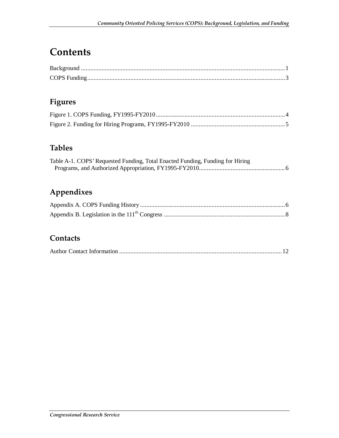## **Contents**

## **Figures**

## **Tables**

| Table A-1. COPS' Requested Funding, Total Enacted Funding, Funding for Hiring |  |
|-------------------------------------------------------------------------------|--|
|                                                                               |  |

## **Appendixes**

### **Contacts**

|--|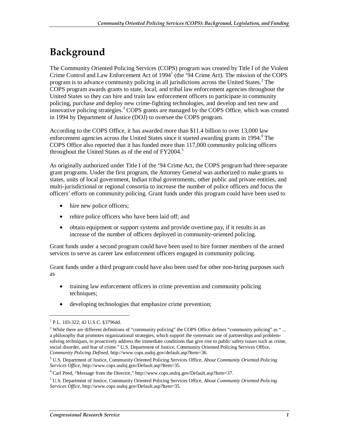## **Background**

The Community Oriented Policing Services (COPS) program was created by Title I of the Violent Crime Control and Law Enforcement Act of 1994<sup>1</sup> (the '94 Crime Act). The mission of the COPS program is to advance community policing in all jurisdictions across the United States.<sup>2</sup> The COPS program awards grants to state, local, and tribal law enforcement agencies throughout the United States so they can hire and train law enforcement officers to participate in community policing, purchase and deploy new crime-fighting technologies, and develop and test new and innovative policing strategies.<sup>3</sup> COPS grants are managed by the COPS Office, which was created in 1994 by Department of Justice (DOJ) to oversee the COPS program.

According to the COPS Office, it has awarded more than \$11.4 billion to over 13,000 law enforcement agencies across the United States since it started awarding grants in 1994.<sup>4</sup> The COPS Office also reported that it has funded more than 117,000 community policing officers throughout the United States as of the end of  $FY2004$ .<sup>5</sup>

As originally authorized under Title I of the '94 Crime Act, the COPS program had three separate grant programs. Under the first program, the Attorney General was authorized to make grants to states, units of local government, Indian tribal governments, other public and private entities, and multi-jurisdictional or regional consortia to increase the number of police officers and focus the officers' efforts on community policing. Grant funds under this program could have been used to

- hire new police officers;
- rehire police officers who have been laid off; and
- obtain equipment or support systems and provide overtime pay, if it results in an increase of the number of officers deployed in community-oriented policing.

Grant funds under a second program could have been used to hire former members of the armed services to serve as career law enforcement officers engaged in community policing.

Grant funds under a third program could have also been used for other non-hiring purposes such as

- training law enforcement officers in crime prevention and community policing techniques;
- developing technologies that emphasize crime prevention;

<u>.</u>

<sup>1</sup> P.L. 103-322; 42 U.S.C. §3796dd.

<sup>&</sup>lt;sup>2</sup> While there are different definitions of "community policing" the COPS Office defines "community policing" as "... a philosophy that promotes organizational strategies, which support the systematic use of partnerships and problemsolving techniques, to proactively address the immediate conditions that give rise to public safety issues such as crime, social disorder, and fear of crime." U.S. Department of Justice, Community Oriented Policing Services Office, *Community Policing Defined*, http://www.cops.usdoj.gov/default.asp?Item=36.

<sup>3</sup> U.S. Department of Justice, Community Oriented Policing Services Office, *About Community Oriented Policing Services Office*, http://www.cops.usdoj.gov/Default.asp?Item=35.

<sup>&</sup>lt;sup>4</sup> Carl Peed, "Message from the Director," http://www.cops.usdoj.gov/Default.asp?Item=37.

<sup>5</sup> U.S. Department of Justice, Community Oriented Policing Services Office, *About Community Oriented Policing Services Office*, http://www.cops.usdoj.gov/Default.asp?Item=35.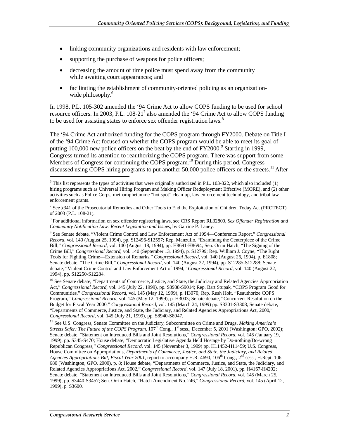- linking community organizations and residents with law enforcement;
- supporting the purchase of weapons for police officers;
- decreasing the amount of time police must spend away from the community while awaiting court appearances; and
- facilitating the establishment of community-oriented policing as an organizationwide philosophy.<sup>6</sup>

In 1998, P.L. 105-302 amended the '94 Crime Act to allow COPS funding to be used for school resource officers. In 2003, P.L.  $108-21^7$  also amended the '94 Crime Act to allow COPS funding to be used for assisting states to enforce sex offender registration laws.<sup>8</sup>

The '94 Crime Act authorized funding for the COPS program through FY2000. Debate on Title I of the '94 Crime Act focused on whether the COPS program would be able to meet its goal of putting 100,000 new police officers on the beat by the end of  $FY2000$ .<sup>9</sup> Starting in 1999, Congress turned its attention to reauthorizing the COPS program. There was support from some Members of Congress for continuing the COPS program.<sup>10</sup> During this period, Congress discussed using COPS hiring programs to put another 50,000 police officers on the streets.<sup>11</sup> After

9 See Senate debate, "Violent Crime Control and Law Enforcement Act of 1994—Conference Report," *Congressional Record*, vol. 140 (August 25, 1994), pp. S12496-S12557; Rep. Manzullo, "Examining the Centerpiece of the Crime Bill," *Congressional Record*, vol. 140 (August 18, 1994), pp. H8691-H8694; Sen. Orrin Hatch, "The Signing of the Crime Bill," *Congressional Record*, vol. 140 (September 13, 1994), p. S12799; Rep. William J. Coyne, "The Right Tools for Fighting Crime—Extension of Remarks," *Congressional Record*, vol. 140 (August 26, 1994), p. E1808; Senate debate, "The Crime Bill," *Congressional Record*, vol. 140 (August 22, 1994), pp. S12285-S12288; Senate debate, "Violent Crime Control and Law Enforcement Act of 1994," *Congressional Record*, vol. 140 (August 22, 1994), pp. S12250-S12284.

<sup>10</sup> See Senate debate, "Departments of Commerce, Justice, and State, the Judiciary and Related Agencies Appropriation Act," *Congressional Record*, vol. 145 (July 22, 1999), pp. S8988-S9014; Rep. Bart Stupak, "COPS Program Good for Communities," *Congressional Record*, vol. 145 (May 12, 1999), p. H3070; Rep. Rush Holt, "Reauthorize COPS Program," *Congressional Record*, vol. 145 (May 12, 1999), p. H3003; Senate debate, "Concurrent Resolution on the Budget for Fiscal Year 2000," *Congressional Record*, vol. 145 (March 24, 1999) pp. S3301-S3308; Senate debate, "Departments of Commerce, Justice, and State, the Judiciary, and Related Agencies Appropriations Act, 2000," *Congressional Record*, vol. 145 (July 21, 1999), pp. S8940-S8947.

<sup>11</sup> See U.S. Congress, Senate Committee on the Judiciary, Subcommittee on Crime and Drugs, *Making America's Streets Safer: The Future of the COPS Program*,  $107<sup>th</sup>$  Cong., 1<sup>st</sup> sess., December 5, 2001 (Washington: GPO, 2002); Senate debate, "Statement on Introduced Bills and Joint Resolutions," *Congressional Record*, vol. 145 (January 19, 1999), pp. S345-S470; House debate, "Democratic Legislative Agenda Held Hostage by Do-nothing/Do-wrong Republican Congress," *Congressional Record*, vol. 145 (November 3, 1999) pp. H11452-H11459; U.S. Congress, House Committee on Appropriations, *Departments of Commerce, Justice, and State, the Judiciary, and Related Agencies Appropriations Bill, Fiscal Year 2001*, report to accompany H.R. 4690, 106th Cong., 2nd sess., H.Rept. 106- 680 (Washington, GPO, 2000), p. 8; House debate, "Departments of Commerce, Justice, and State, the Judiciary, and Related Agencies Appropriations Act, 2002," *Congressional Record*, vol. 147 (July 18, 2001), pp. H4167-H4202; Senate debate, "Statement on Introduced Bills and Joint Resolutions," *Congressional Record*, vol. 145 (March 25, 1999), pp. S3440-S3457; Sen. Orrin Hatch, "Hatch Amendment No. 246," *Congressional Record*, vol. 145 (April 12, 1999), p. S3600.

<u>.</u>

 $6$  This list represents the types of activities that were originally authorized in P.L. 103-322, which also included (1) hiring programs such as Universal Hiring Program and Making Officer Redeployment Effective (MORE), and (2) other activities such as Police Corps, methamphetamine "hot spot" clean-up, law enforcement technology, and tribal law enforcement grants.

<sup>&</sup>lt;sup>7</sup> See §341 of the Prosecutorial Remedies and Other Tools to End the Exploitation of Children Today Act (PROTECT) of 2003 (P.L. 108-21).

<sup>8</sup> For additional information on sex offender registering laws, see CRS Report RL32800, *Sex Offender Registration and Community Notification Law: Recent Legislation and Issues*, by Garrine P. Laney.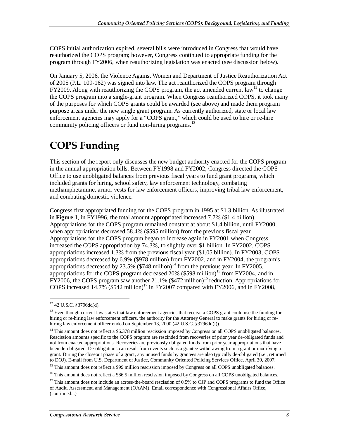COPS initial authorization expired, several bills were introduced in Congress that would have reauthorized the COPS program; however, Congress continued to appropriate funding for the program through FY2006, when reauthorizing legislation was enacted (see discussion below).

On January 5, 2006, the Violence Against Women and Department of Justice Reauthorization Act of 2005 (P.L. 109-162) was signed into law. The act reauthorized the COPS program through FY2009. Along with reauthorizing the COPS program, the act amended current law<sup>12</sup> to change the COPS program into a single-grant program. When Congress reauthorized COPS, it took many of the purposes for which COPS grants could be awarded (see above) and made them program purpose areas under the new single grant program. As currently authorized, state or local law enforcement agencies may apply for a "COPS grant," which could be used to hire or re-hire community policing officers or fund non-hiring programs.<sup>13</sup>

## **COPS Funding**

This section of the report only discusses the new budget authority enacted for the COPS program in the annual appropriation bills. Between FY1998 and FY2002, Congress directed the COPS Office to use unobligated balances from previous fiscal years to fund grant programs, which included grants for hiring, school safety, law enforcement technology, combating methamphetamine, armor vests for law enforcement officers, improving tribal law enforcement, and combating domestic violence.

Congress first appropriated funding for the COPS program in 1995 at \$1.3 billion. As illustrated in **Figure 1**, in FY1996, the total amount appropriated increased 7.7% (\$1.4 billion). Appropriations for the COPS program remained constant at about \$1.4 billion, until FY2000, when appropriations decreased 58.4% (\$595 million) from the previous fiscal year. Appropriations for the COPS program began to increase again in FY2001 when Congress increased the COPS appropriation by 74.3%, to slightly over \$1 billion. In FY2002, COPS appropriations increased 1.3% from the previous fiscal year (\$1.05 billion). In FY2003, COPS appropriations decreased by 6.9% (\$978 million) from FY2002, and in FY2004, the program's appropriations decreased by 23.5%  $(\$748 \text{ million})^{14}$  from the previous year. In FY2005, appropriations for the COPS program decreased  $20\%$  (\$598 million)<sup>15</sup> from FY2004, and in  $\overline{FY}$ 2006, the COPS program saw another 21.1% (\$472 million)<sup>16</sup> reduction. Appropriations for COPS increased  $14.7\%$  (\$542 million)<sup>17</sup> in FY2007 compared with FY2006, and in FY2008,

<sup>&</sup>lt;sup>12</sup> 42 U.S.C. §3796dd(d).

<sup>&</sup>lt;sup>13</sup> Even though current law states that law enforcement agencies that receive a COPS grant could use the funding for hiring or re-hiring law enforcement officers, the authority for the Attorney General to make grants for hiring or rehiring law enforcement officer ended on September 13, 2000 (42 U.S.C. §3796dd(i)).

<sup>&</sup>lt;sup>14</sup> This amount does not reflect a \$6.378 million rescission imposed by Congress on all COPS unobligated balances. Rescission amounts specific to the COPS program are rescinded from recoveries of prior year de-obligated funds and not from enacted appropriations. Recoveries are previously obligated funds from prior year appropriations that have been de-obligated. De-obligations can result from events such as a grantee withdrawing from a grant or modifying a grant. During the closeout phase of a grant, any unused funds by grantees are also typically de-obligated (i.e., returned to DOJ). E-mail from U.S. Department of Justice, Community Oriented Policing Services Office, April 30, 2007.

<sup>&</sup>lt;sup>15</sup> This amount does not reflect a \$99 million rescission imposed by Congress on all COPS unobligated balances.

<sup>&</sup>lt;sup>16</sup> This amount does not reflect a \$86.5 million rescission imposed by Congress on all COPS unobligated balances.

<sup>&</sup>lt;sup>17</sup> This amount does not include an across-the-board rescission of 0.5% to OJP and COPS programs to fund the Office of Audit, Assessment, and Management (OAAM). Email correspondence with Congressional Affairs Office, (continued...)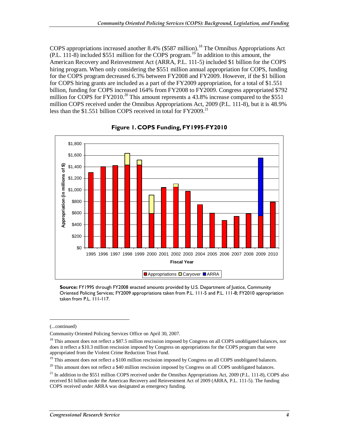COPS appropriations increased another 8.4% (\$587 million).<sup>18</sup> The Omnibus Appropriations Act  $(PL. 111-8)$  included \$551 million for the COPS program.<sup>19</sup> In addition to this amount, the American Recovery and Reinvestment Act (ARRA, P.L. 111-5) included \$1 billion for the COPS hiring program. When only considering the \$551 million annual appropriation for COPS, funding for the COPS program decreased 6.3% between FY2008 and FY2009. However, if the \$1 billion for COPS hiring grants are included as a part of the FY2009 appropriation, for a total of \$1.551 billion, funding for COPS increased 164% from FY2008 to FY2009. Congress appropriated \$792 million for COPS for FY2010.<sup>20</sup> This amount represents a 43.8% increase compared to the \$551 million COPS received under the Omnibus Appropriations Act, 2009 (P.L. 111-8), but it is 48.9% less than the \$1.551 billion COPS received in total for FY2009.<sup>21</sup>



#### **Figure 1. COPS Funding, FY1995-FY2010**

**Source:** FY1995 through FY2008 enacted amounts provided by U.S. Department of Justice, Community Oriented Policing Services; FY2009 appropriations taken from P.L. 111-5 and P.L. 111-8; FY2010 appropriation taken from P.L. 111-117.

**.** 

<sup>(...</sup>continued)

Community Oriented Policing Services Office on April 30, 2007.

<sup>&</sup>lt;sup>18</sup> This amount does not reflect a \$87.5 million rescission imposed by Congress on all COPS unobligated balances, nor does it reflect a \$10.3 million rescission imposed by Congress on appropriations for the COPS program that were appropriated from the Violent Crime Reduction Trust Fund.

<sup>&</sup>lt;sup>19</sup> This amount does not reflect a \$100 million rescission imposed by Congress on all COPS unobligated balances.

<sup>&</sup>lt;sup>20</sup> This amount does not reflect a \$40 million rescission imposed by Congress on all COPS unobligated balances.

 $^{21}$  In addition to the \$551 million COPS received under the Omnibus Appropriations Act, 2009 (P.L. 111-8), COPS also received \$1 billion under the American Recovery and Reinvestment Act of 2009 (ARRA, P.L. 111-5). The funding COPS received under ARRA was designated as emergency funding.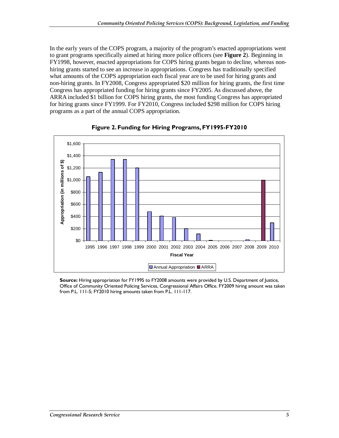In the early years of the COPS program, a majority of the program's enacted appropriations went to grant programs specifically aimed at hiring more police officers (see **Figure 2**). Beginning in FY1998, however, enacted appropriations for COPS hiring grants began to decline, whereas nonhiring grants started to see an increase in appropriations. Congress has traditionally specified what amounts of the COPS appropriation each fiscal year are to be used for hiring grants and non-hiring grants. In FY2008, Congress appropriated \$20 million for hiring grants, the first time Congress has appropriated funding for hiring grants since FY2005. As discussed above, the ARRA included \$1 billion for COPS hiring grants, the most funding Congress has appropriated for hiring grants since FY1999. For FY2010, Congress included \$298 million for COPS hiring programs as a part of the annual COPS appropriation.





**Source:** Hiring appropriation for FY1995 to FY2008 amounts were provided by U.S. Department of Justice, Office of Community Oriented Policing Services, Congressional Affairs Office. FY2009 hiring amount was taken from P.L. 111-5; FY2010 hiring amounts taken from P.L. 111-117.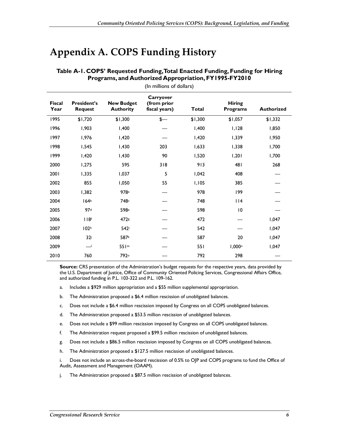## **Appendix A. COPS Funding History**

| <b>Fiscal</b><br>Year | <b>President's</b><br><b>Request</b> | <b>New Budget</b><br><b>Authority</b> | Carryover<br>(from prior<br>fiscal years) | Total   | <b>Hiring</b><br><b>Programs</b> | <b>Authorized</b> |  |  |  |
|-----------------------|--------------------------------------|---------------------------------------|-------------------------------------------|---------|----------------------------------|-------------------|--|--|--|
| 1995                  | \$1,720                              | \$1,300                               | $\frac{2}{\pi}$                           | \$1,300 | \$1,057                          | \$1,332           |  |  |  |
| 1996                  | 1,903                                | 1,400                                 |                                           | I,400   | I, I28                           | 1,850             |  |  |  |
| 1997                  | 1,976                                | I,420                                 |                                           | I,420   | 1,339                            | 1,950             |  |  |  |
| 1998                  | 1,545                                | 1,430                                 | 203                                       | 1,633   | 1,338                            | 1,700             |  |  |  |
| 1999                  | I,420                                | 1,430                                 | 90                                        | 1,520   | 1,201                            | 1,700             |  |  |  |
| 2000                  | 1,275                                | 595                                   | 318                                       | 913     | 481                              | 268               |  |  |  |
| 2001                  | 1,335                                | 1,037                                 | 5                                         | 1,042   | 408                              |                   |  |  |  |
| 2002                  | 855                                  | 1,050                                 | 55                                        | 1,105   | 385                              |                   |  |  |  |
| 2003                  | 1,382                                | 978a                                  |                                           | 978     | 199                              |                   |  |  |  |
| 2004                  | 164 <sup>b</sup>                     | 748 <sup>c</sup>                      |                                           | 748     | 114                              |                   |  |  |  |
| 2005                  | 97d                                  | 598 <sup>e</sup>                      |                                           | 598     | $\overline{10}$                  |                   |  |  |  |
| 2006                  | 118 <sup>f</sup>                     | 472s                                  |                                           | 472     |                                  | 1,047             |  |  |  |
| 2007                  | 102 <sup>h</sup>                     | 542i                                  |                                           | 542     |                                  | 1,047             |  |  |  |
| 2008                  | 32i                                  | 587k                                  |                                           | 587     | 20                               | 1,047             |  |  |  |
| 2009                  | —                                    | 551 <sup>m</sup>                      |                                           | 551     | 1,000 <sub>n</sub>               | 1,047             |  |  |  |
| 2010                  | 760                                  | 792°                                  |                                           | 792     | 298                              |                   |  |  |  |

#### **Table A-1. COPS' Requested Funding, Total Enacted Funding, Funding for Hiring Programs, and Authorized Appropriation, FY1995-FY2010**  (In millions of dollars)

**Source:** CRS presentation of the Administration's budget requests for the respective years, data provided by the U.S. Department of Justice, Office of Community Oriented Policing Services, Congressional Affairs Office, and authorized funding in P.L. 103-322 and P.L. 109-162.

- a. Includes a \$929 million appropriation and a \$55 million supplemental appropriation.
- b. The Administration proposed a \$6.4 million rescission of unobligated balances.
- c. Does not include a \$6.4 million rescission imposed by Congress on all COPS unobligated balances.
- d. The Administration proposed a \$53.5 million rescission of unobligated balances.
- e. Does not include a \$99 million rescission imposed by Congress on all COPS unobligated balances.
- f. The Administration request proposed a \$99.5 million rescission of unobligated balances.
- g. Does not include a \$86.5 million rescission imposed by Congress on all COPS unobligated balances.
- h. The Administration proposed a \$127.5 million rescission of unobligated balances.

i. Does not include an across-the-board rescission of 0.5% to OJP and COPS programs to fund the Office of Audit, Assessment and Management (OAAM).

j. The Administration proposed a \$87.5 million rescission of unobligated balances.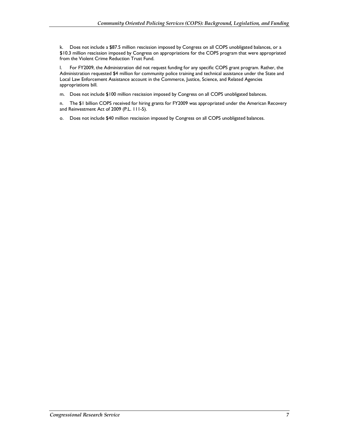k. Does not include a \$87.5 million rescission imposed by Congress on all COPS unobligated balances, or a \$10.3 million rescission imposed by Congress on appropriations for the COPS program that were appropriated from the Violent Crime Reduction Trust Fund.

l. For FY2009, the Administration did not request funding for any specific COPS grant program. Rather, the Administration requested \$4 million for community police training and technical assistance under the State and Local Law Enforcement Assistance account in the Commerce, Justice, Science, and Related Agencies appropriations bill.

m. Does not include \$100 million rescission imposed by Congress on all COPS unobligated balances.

n. The \$1 billion COPS received for hiring grants for FY2009 was appropriated under the American Recovery and Reinvestment Act of 2009 (P.L. 111-5).

o. Does not include \$40 million rescission imposed by Congress on all COPS unobligated balances.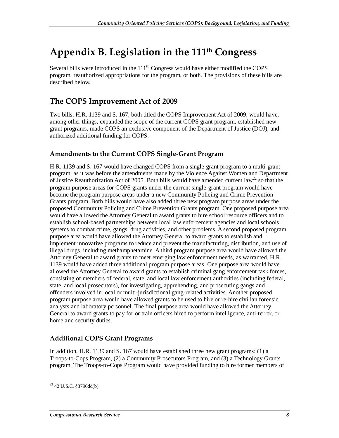## **Appendix B. Legislation in the 111th Congress**

Several bills were introduced in the  $111<sup>th</sup>$  Congress would have either modified the COPS program, reauthorized appropriations for the program, or both. The provisions of these bills are described below.

## **The COPS Improvement Act of 2009**

Two bills, H.R. 1139 and S. 167, both titled the COPS Improvement Act of 2009, would have, among other things, expanded the scope of the current COPS grant program, established new grant programs, made COPS an exclusive component of the Department of Justice (DOJ), and authorized additional funding for COPS.

#### **Amendments to the Current COPS Single-Grant Program**

H.R. 1139 and S. 167 would have changed COPS from a single-grant program to a multi-grant program, as it was before the amendments made by the Violence Against Women and Department of Justice Reauthorization Act of 2005. Both bills would have amended current law<sup>22</sup> so that the program purpose areas for COPS grants under the current single-grant program would have become the program purpose areas under a new Community Policing and Crime Prevention Grants program. Both bills would have also added three new program purpose areas under the proposed Community Policing and Crime Prevention Grants program. One proposed purpose area would have allowed the Attorney General to award grants to hire school resource officers and to establish school-based partnerships between local law enforcement agencies and local schools systems to combat crime, gangs, drug activities, and other problems. A second proposed program purpose area would have allowed the Attorney General to award grants to establish and implement innovative programs to reduce and prevent the manufacturing, distribution, and use of illegal drugs, including methamphetamine. A third program purpose area would have allowed the Attorney General to award grants to meet emerging law enforcement needs, as warranted. H.R. 1139 would have added three additional program purpose areas. One purpose area would have allowed the Attorney General to award grants to establish criminal gang enforcement task forces, consisting of members of federal, state, and local law enforcement authorities (including federal, state, and local prosecutors), for investigating, apprehending, and prosecuting gangs and offenders involved in local or multi-jurisdictional gang-related activities. Another proposed program purpose area would have allowed grants to be used to hire or re-hire civilian forensic analysts and laboratory personnel. The final purpose area would have allowed the Attorney General to award grants to pay for or train officers hired to perform intelligence, anti-terror, or homeland security duties.

#### **Additional COPS Grant Programs**

In addition, H.R. 1139 and S. 167 would have established three new grant programs: (1) a Troops-to-Cops Program, (2) a Community Prosecutors Program, and (3) a Technology Grants program. The Troops-to-Cops Program would have provided funding to hire former members of

 $22$  42 U.S.C. §3796dd(b).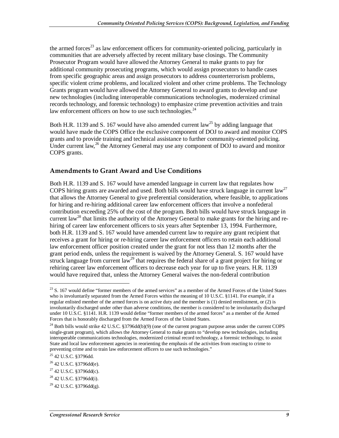the armed forces<sup>23</sup> as law enforcement officers for community-oriented policing, particularly in communities that are adversely affected by recent military base closings. The Community Prosecutor Program would have allowed the Attorney General to make grants to pay for additional community prosecuting programs, which would assign prosecutors to handle cases from specific geographic areas and assign prosecutors to address counterterrorism problems, specific violent crime problems, and localized violent and other crime problems. The Technology Grants program would have allowed the Attorney General to award grants to develop and use new technologies (including interoperable communications technologies, modernized criminal records technology, and forensic technology) to emphasize crime prevention activities and train law enforcement officers on how to use such technologies. $^{24}$ 

Both H.R. 1139 and S. 167 would have also amended current law<sup>25</sup> by adding language that would have made the COPS Office the exclusive component of DOJ to award and monitor COPS grants and to provide training and technical assistance to further community-oriented policing. Under current law,<sup>26</sup> the Attorney General may use any component of DOJ to award and monitor COPS grants.

### **Amendments to Grant Award and Use Conditions**

Both H.R. 1139 and S. 167 would have amended language in current law that regulates how COPS hiring grants are awarded and used. Both bills would have struck language in current law<sup>27</sup> that allows the Attorney General to give preferential consideration, where feasible, to applications for hiring and re-hiring additional career law enforcement officers that involve a nonfederal contribution exceeding 25% of the cost of the program. Both bills would have struck language in current law<sup>28</sup> that limits the authority of the Attorney General to make grants for the hiring and rehiring of career law enforcement officers to six years after September 13, 1994. Furthermore, both H.R. 1139 and S. 167 would have amended current law to require any grant recipient that receives a grant for hiring or re-hiring career law enforcement officers to retain each additional law enforcement officer position created under the grant for not less than 12 months after the grant period ends, unless the requirement is waived by the Attorney General. S. 167 would have struck language from current law<sup>29</sup> that requires the federal share of a grant project for hiring or rehiring career law enforcement officers to decrease each year for up to five years. H.R. 1139 would have required that, unless the Attorney General waives the non-federal contribution

 $23$  S. 167 would define "former members of the armed services" as a member of the Armed Forces of the United States who is involuntarily separated from the Armed Forces within the meaning of 10 U.S.C. §1141. For example, if a regular enlisted member of the armed forces is on active duty and the member is (1) denied reenlistment, or (2) is involuntarily discharged under other than adverse conditions, the member is considered to be involuntarily discharged under 10 U.S.C. §1141. H.R. 1139 would define "former members of the armed forces" as a member of the Armed Forces that is honorably discharged from the Armed Forces of the United States.

 $^{24}$  Both bills would strike 42 U.S.C. §3796dd(b)(9) (one of the current program purpose areas under the current COPS single-grant program), which allows the Attorney General to make grants to "develop new technologies, including interoperable communications technologies, modernized criminal record technology, a forensic technology, to assist State and local law enforcement agencies in reorienting the emphasis of the activities from reacting to crime to preventing crime and to train law enforcement officers to use such technologies."

<sup>25 42</sup> U.S.C. §3796dd.

 $26$  42 U.S.C. §3796dd(e).

<sup>27 42</sup> U.S.C. §3796dd(c).

<sup>&</sup>lt;sup>28</sup> 42 U.S.C. §3796dd(i).

 $^{29}$  42 U.S.C. §3796dd(g).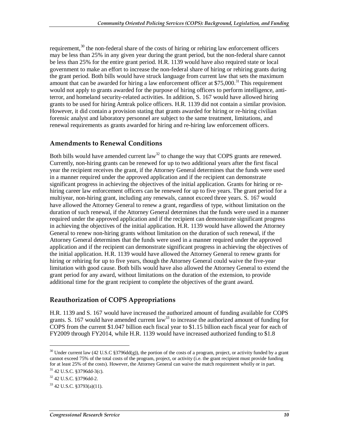requirement, $30$  the non-federal share of the costs of hiring or rehiring law enforcement officers may be less than 25% in any given year during the grant period, but the non-federal share cannot be less than 25% for the entire grant period. H.R. 1139 would have also required state or local government to make an effort to increase the non-federal share of hiring or rehiring grants during the grant period. Both bills would have struck language from current law that sets the maximum amount that can be awarded for hiring a law enforcement officer at  $$75,000$ .<sup>31</sup> This requirement would not apply to grants awarded for the purpose of hiring officers to perform intelligence, antiterror, and homeland security-related activities. In addition, S. 167 would have allowed hiring grants to be used for hiring Amtrak police officers. H.R. 1139 did not contain a similar provision. However, it did contain a provision stating that grants awarded for hiring or re-hiring civilian forensic analyst and laboratory personnel are subject to the same treatment, limitations, and renewal requirements as grants awarded for hiring and re-hiring law enforcement officers.

#### **Amendments to Renewal Conditions**

Both bills would have amended current  $law^{32}$  to change the way that COPS grants are renewed. Currently, non-hiring grants can be renewed for up to two additional years after the first fiscal year the recipient receives the grant, if the Attorney General determines that the funds were used in a manner required under the approved application and if the recipient can demonstrate significant progress in achieving the objectives of the initial application. Grants for hiring or rehiring career law enforcement officers can be renewed for up to five years. The grant period for a multiyear, non-hiring grant, including any renewals, cannot exceed three years. S. 167 would have allowed the Attorney General to renew a grant, regardless of type, without limitation on the duration of such renewal, if the Attorney General determines that the funds were used in a manner required under the approved application and if the recipient can demonstrate significant progress in achieving the objectives of the initial application. H.R. 1139 would have allowed the Attorney General to renew non-hiring grants without limitation on the duration of such renewal, if the Attorney General determines that the funds were used in a manner required under the approved application and if the recipient can demonstrate significant progress in achieving the objectives of the initial application. H.R. 1139 would have allowed the Attorney General to renew grants for hiring or rehiring for up to five years, though the Attorney General could waive the five-year limitation with good cause. Both bills would have also allowed the Attorney General to extend the grant period for any award, without limitations on the duration of the extension, to provide additional time for the grant recipient to complete the objectives of the grant award.

#### **Reauthorization of COPS Appropriations**

H.R. 1139 and S. 167 would have increased the authorized amount of funding available for COPS grants. S. 167 would have amended current  $law^{33}$  to increase the authorized amount of funding for COPS from the current \$1.047 billion each fiscal year to \$1.15 billion each fiscal year for each of FY2009 through FY2014, while H.R. 1139 would have increased authorized funding to \$1.8

<u>.</u>

<sup>&</sup>lt;sup>30</sup> Under current law (42 U.S.C §3796dd(g)), the portion of the costs of a program, project, or activity funded by a grant cannot exceed 75% of the total costs of the program, project, or activity (i.e. the grant recipient must provide funding for at least 25% of the costs). However, the Attorney General can waive the match requirement wholly or in part.

 $31$  42 U.S.C. §3796dd-3(c).

<sup>32 42</sup> U.S.C. §3796dd-2.

 $33$  42 U.S.C. §3793(a)(11).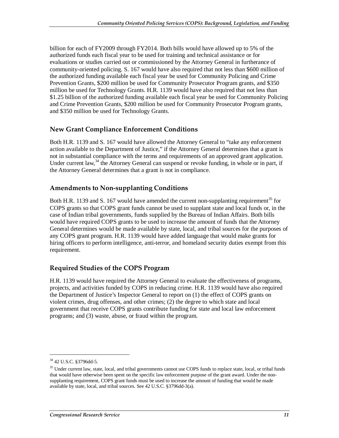billion for each of FY2009 through FY2014. Both bills would have allowed up to 5% of the authorized funds each fiscal year to be used for training and technical assistance or for evaluations or studies carried out or commissioned by the Attorney General in furtherance of community-oriented policing. S. 167 would have also required that not less than \$600 million of the authorized funding available each fiscal year be used for Community Policing and Crime Prevention Grants, \$200 million be used for Community Prosecutor Program grants, and \$350 million be used for Technology Grants. H.R. 1139 would have also required that not less than \$1.25 billion of the authorized funding available each fiscal year be used for Community Policing and Crime Prevention Grants, \$200 million be used for Community Prosecutor Program grants, and \$350 million be used for Technology Grants.

### **New Grant Compliance Enforcement Conditions**

Both H.R. 1139 and S. 167 would have allowed the Attorney General to "take any enforcement action available to the Department of Justice," if the Attorney General determines that a grant is not in substantial compliance with the terms and requirements of an approved grant application. Under current law,<sup>34</sup> the Attorney General can suspend or revoke funding, in whole or in part, if the Attorney General determines that a grant is not in compliance.

### **Amendments to Non-supplanting Conditions**

Both H.R. 1139 and S. 167 would have amended the current non-supplanting requirement<sup>35</sup> for COPS grants so that COPS grant funds cannot be used to supplant state and local funds or, in the case of Indian tribal governments, funds supplied by the Bureau of Indian Affairs. Both bills would have required COPS grants to be used to increase the amount of funds that the Attorney General determines would be made available by state, local, and tribal sources for the purposes of any COPS grant program. H.R. 1139 would have added language that would make grants for hiring officers to perform intelligence, anti-terror, and homeland security duties exempt from this requirement.

### **Required Studies of the COPS Program**

H.R. 1139 would have required the Attorney General to evaluate the effectiveness of programs, projects, and activities funded by COPS in reducing crime. H.R. 1139 would have also required the Department of Justice's Inspector General to report on (1) the effect of COPS grants on violent crimes, drug offenses, and other crimes; (2) the degree to which state and local government that receive COPS grants contribute funding for state and local law enforcement programs; and (3) waste, abuse, or fraud within the program.

<sup>34 42</sup> U.S.C. §3796dd-5.

<sup>&</sup>lt;sup>35</sup> Under current law, state, local, and tribal governments cannot use COPS funds to replace state, local, or tribal funds that would have otherwise been spent on the specific law enforcement purpose of the grant award. Under the nonsupplanting requirement, COPS grant funds must be used to increase the amount of funding that would be made available by state, local, and tribal sources. See 42 U.S.C. §3796dd-3(a).